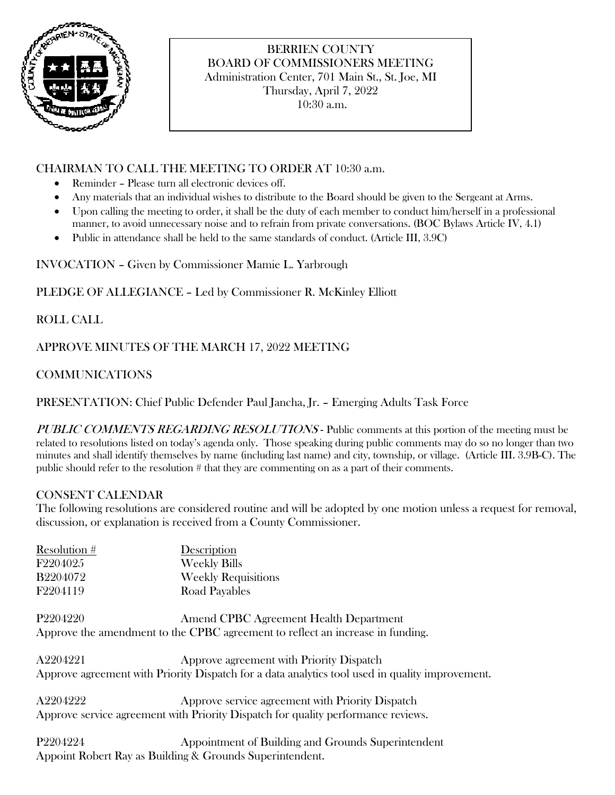

# BERRIEN COUNTY BOARD OF COMMISSIONERS MEETING Administration Center, 701 Main St., St. Joe, MI Thursday, April 7, 2022 10:30 a.m.

# CHAIRMAN TO CALL THE MEETING TO ORDER AT 10:30 a.m.

- Reminder Please turn all electronic devices off.
- Any materials that an individual wishes to distribute to the Board should be given to the Sergeant at Arms.
- Upon calling the meeting to order, it shall be the duty of each member to conduct him/herself in a professional manner, to avoid unnecessary noise and to refrain from private conversations. (BOC Bylaws Article IV, 4.1)
- Public in attendance shall be held to the same standards of conduct. (Article III, 3.9C)

INVOCATION – Given by Commissioner Mamie L. Yarbrough

PLEDGE OF ALLEGIANCE – Led by Commissioner R. McKinley Elliott

ROLL CALL

APPROVE MINUTES OF THE MARCH 17, 2022 MEETING

# COMMUNICATIONS

PRESENTATION: Chief Public Defender Paul Jancha, Jr. – Emerging Adults Task Force

PUBLIC COMMENTS REGARDING RESOLUTIONS - Public comments at this portion of the meeting must be related to resolutions listed on today's agenda only. Those speaking during public comments may do so no longer than two minutes and shall identify themselves by name (including last name) and city, township, or village. (Article III. 3.9B-C). The public should refer to the resolution # that they are commenting on as a part of their comments.

# CONSENT CALENDAR

The following resolutions are considered routine and will be adopted by one motion unless a request for removal, discussion, or explanation is received from a County Commissioner.

| Resolution # | Description                                                                                     |
|--------------|-------------------------------------------------------------------------------------------------|
| F2204025     | <b>Weekly Bills</b>                                                                             |
| B2204072     | <b>Weekly Requisitions</b>                                                                      |
| F2204119     | Road Payables                                                                                   |
| P2204220     | Amend CPBC Agreement Health Department                                                          |
|              | Approve the amendment to the CPBC agreement to reflect an increase in funding.                  |
| A2204221     | Approve agreement with Priority Dispatch                                                        |
|              | Approve agreement with Priority Dispatch for a data analytics tool used in quality improvement. |
| A2204222     | Approve service agreement with Priority Dispatch                                                |
|              | Approve service agreement with Priority Dispatch for quality performance reviews.               |
| P2204224     | Appointment of Building and Grounds Superintendent                                              |

Appoint Robert Ray as Building & Grounds Superintendent.